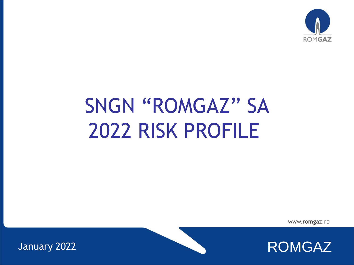

# SNGN "ROMGAZ" SA 2022 RISK PROFILE

www.romgaz.ro

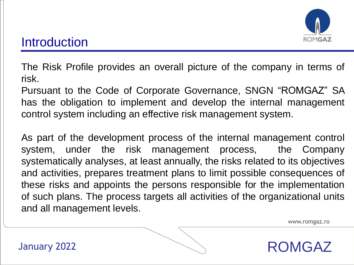

The Risk Profile provides an overall picture of the company in terms of risk.

Pursuant to the Code of Corporate Governance, SNGN "ROMGAZ" SA has the obligation to implement and develop the internal management control system including an effective risk management system.

As part of the development process of the internal management control system, under the risk management process, the Company systematically analyses, at least annually, the risks related to its objectives and activities, prepares treatment plans to limit possible consequences of these risks and appoints the persons responsible for the implementation of such plans. The process targets all activities of the organizational units and all management levels.

www.romgaz.ro

ROMGAZ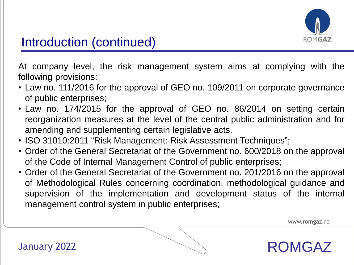

At company level, the risk management system aims at complying with the following provisions:

- Law no. 111/2016 for the approval of GEO no. 109/2011 on corporate governance of public enterprises;
- Law no. 174/2015 for the approval of GEO no. 86/2014 on setting certain reorganization measures at the level of the central public administration and for amending and supplementing certain legislative acts.
- ISO 31010:2011 "Risk Management: Risk Assessment Techniques";
- Order of the General Secretariat of the Government no. 600/2018 on the approval of the Code of Internal Management Control of public enterprises;
- Order of the General Secretariat of the Government no. 201/2016 on the approval of Methodological Rules concerning coordination, methodological guidance and supervision of the implementation and development status of the internal management control system in public enterprises;

www.romgaz.ro

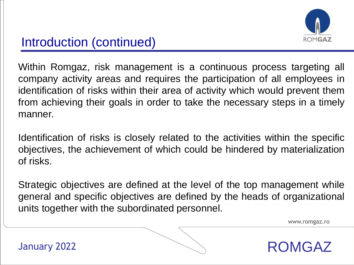

Within Romgaz, risk management is a continuous process targeting all company activity areas and requires the participation of all employees in identification of risks within their area of activity which would prevent them from achieving their goals in order to take the necessary steps in a timely manner.

Identification of risks is closely related to the activities within the specific objectives, the achievement of which could be hindered by materialization of risks.

Strategic objectives are defined at the level of the top management while general and specific objectives are defined by the heads of organizational units together with the subordinated personnel.

www.romgaz.ro

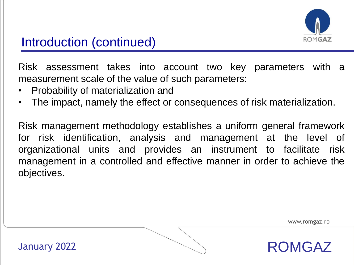

Risk assessment takes into account two key parameters with a measurement scale of the value of such parameters:

- Probability of materialization and
- The impact, namely the effect or consequences of risk materialization.

Risk management methodology establishes a uniform general framework for risk identification, analysis and management at the level of organizational units and provides an instrument to facilitate risk management in a controlled and effective manner in order to achieve the objectives.

www.romgaz.ro

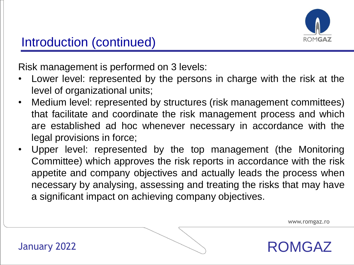

Risk management is performed on 3 levels:

- Lower level: represented by the persons in charge with the risk at the level of organizational units;
- Medium level: represented by structures (risk management committees) that facilitate and coordinate the risk management process and which are established ad hoc whenever necessary in accordance with the legal provisions in force;
- Upper level: represented by the top management (the Monitoring Committee) which approves the risk reports in accordance with the risk appetite and company objectives and actually leads the process when necessary by analysing, assessing and treating the risks that may have a significant impact on achieving company objectives.

www.romgaz.ro

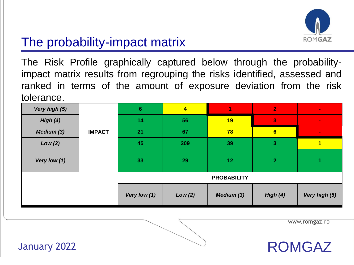

# The probability-impact matrix

The Risk Profile graphically captured below through the probabilityimpact matrix results from regrouping the risks identified, assessed and ranked in terms of the amount of exposure deviation from the risk tolerance.

| Very high (5) |               | $6\phantom{1}$     | $\overline{\mathbf{4}}$ |            | $\overline{2}$          | $\sim$         |  |  |
|---------------|---------------|--------------------|-------------------------|------------|-------------------------|----------------|--|--|
| High $(4)$    |               | 14                 | 56                      | 19         | $\overline{\mathbf{3}}$ | $\blacksquare$ |  |  |
| Medium (3)    | <b>IMPACT</b> | 21                 | 67                      | 78         | 6                       | $\blacksquare$ |  |  |
| Low(2)        |               | 45                 | 209                     | 39         | $\mathbf{3}$            | 1              |  |  |
| Very low (1)  |               | 33                 | 29                      | 12         | $\overline{2}$          |                |  |  |
|               |               | <b>PROBABILITY</b> |                         |            |                         |                |  |  |
|               |               | Very low (1)       | Low(2)                  | Medium (3) | High (4)                | Very high (5)  |  |  |

www.romgaz.ro

ROMGAZ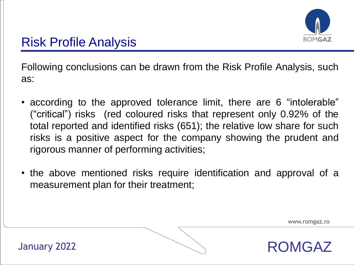

Following conclusions can be drawn from the Risk Profile Analysis, such as:

- according to the approved tolerance limit, there are 6 "intolerable" ("critical") risks (red coloured risks that represent only 0.92% of the total reported and identified risks (651); the relative low share for such risks is a positive aspect for the company showing the prudent and rigorous manner of performing activities;
- the above mentioned risks require identification and approval of a measurement plan for their treatment;

www.romgaz.ro

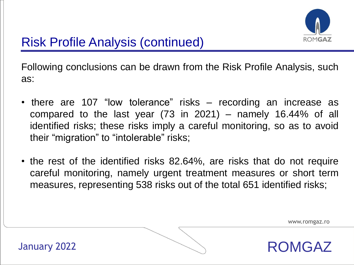

Following conclusions can be drawn from the Risk Profile Analysis, such as:

- there are 107 "low tolerance" risks recording an increase as compared to the last year (73 in 2021) – namely 16.44% of all identified risks; these risks imply a careful monitoring, so as to avoid their "migration" to "intolerable" risks;
- the rest of the identified risks 82.64%, are risks that do not require careful monitoring, namely urgent treatment measures or short term measures, representing 538 risks out of the total 651 identified risks;

www.romgaz.ro

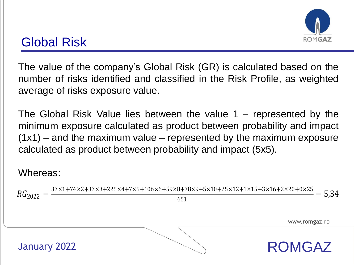

# Global Risk

The value of the company's Global Risk (GR) is calculated based on the number of risks identified and classified in the Risk Profile, as weighted average of risks exposure value.

The Global Risk Value lies between the value 1 – represented by the minimum exposure calculated as product between probability and impact  $(1x1)$  – and the maximum value – represented by the maximum exposure calculated as product between probability and impact (5x5).

#### Whereas:

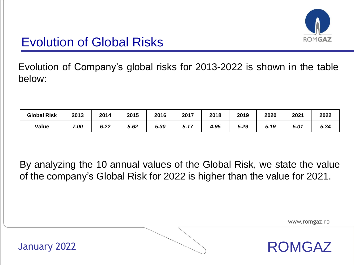

## Evolution of Global Risks

Evolution of Company's global risks for 2013-2022 is shown in the table below:

| <b>Global Risk</b> | 2013 | 2014 | 2015 | 2016 | 2017         | 2018 | 2019 | 2020 | 2021 | 2022 |
|--------------------|------|------|------|------|--------------|------|------|------|------|------|
| Value              | .00  | 6.22 | 5.62 | 5.30 | $-4-$<br>J.I | 4.95 | 5.29 | 5.19 | 5.01 | 5.34 |

By analyzing the 10 annual values of the Global Risk, we state the value of the company's Global Risk for 2022 is higher than the value for 2021.

www.romgaz.ro

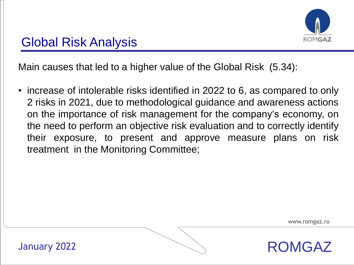

Main causes that led to a higher value of the Global Risk (5.34):

• increase of intolerable risks identified in 2022 to 6, as compared to only 2 risks in 2021, due to methodological guidance and awareness actions on the importance of risk management for the company's economy, on the need to perform an objective risk evaluation and to correctly identify their exposure, to present and approve measure plans on risk treatment in the Monitoring Committee;

www.romgaz.ro

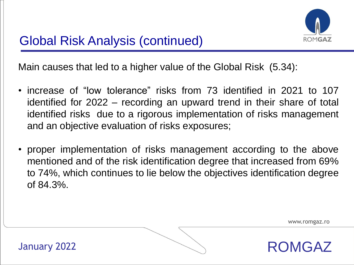

Main causes that led to a higher value of the Global Risk (5.34):

- increase of "low tolerance" risks from 73 identified in 2021 to 107 identified for 2022 – recording an upward trend in their share of total identified risks due to a rigorous implementation of risks management and an objective evaluation of risks exposures;
- proper implementation of risks management according to the above mentioned and of the risk identification degree that increased from 69% to 74%, which continues to lie below the objectives identification degree of 84.3%.

www.romgaz.ro

ROMGAZ